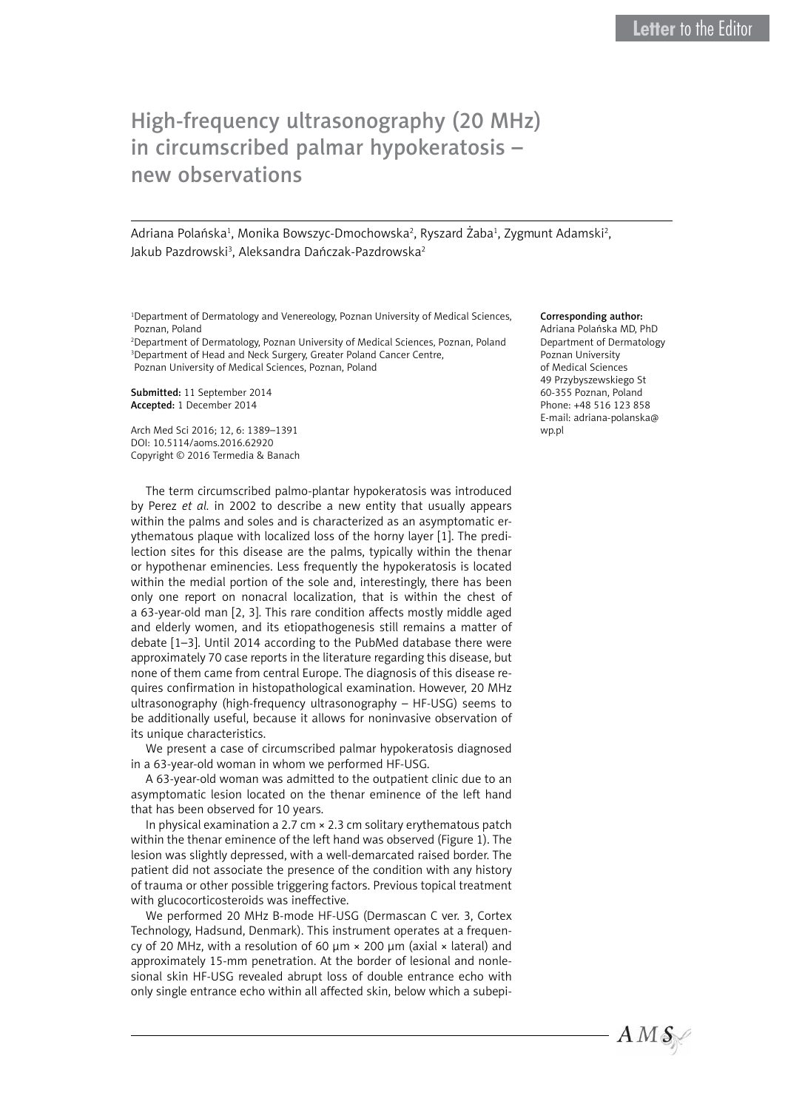## High-frequency ultrasonography (20 MHz) in circumscribed palmar hypokeratosis – new observations

Adriana Polańska<sup>1</sup>, Monika Bowszyc-Dmochowska<sup>2</sup>, Ryszard Żaba<sup>1</sup>, Zygmunt Adamski<sup>2</sup>, Jakub Pazdrowski<sup>3</sup>, Aleksandra Dańczak-Pazdrowska<sup>2</sup>

1 Department of Dermatology and Venereology, Poznan University of Medical Sciences, Poznan, Poland

2 Department of Dermatology, Poznan University of Medical Sciences, Poznan, Poland <sup>3</sup>Department of Head and Neck Surgery, Greater Poland Cancer Centre, Poznan University of Medical Sciences, Poznan, Poland

Submitted: 11 September 2014 Accepted: 1 December 2014

Arch Med Sci 2016; 12, 6: 1389–1391 DOI: 10.5114/aoms.2016.62920 Copyright © 2016 Termedia & Banach

The term circumscribed palmo-plantar hypokeratosis was introduced by Perez *et al.* in 2002 to describe a new entity that usually appears within the palms and soles and is characterized as an asymptomatic erythematous plaque with localized loss of the horny layer [1]. The predilection sites for this disease are the palms, typically within the thenar or hypothenar eminencies. Less frequently the hypokeratosis is located within the medial portion of the sole and, interestingly, there has been only one report on nonacral localization, that is within the chest of a 63-year-old man [2, 3]. This rare condition affects mostly middle aged and elderly women, and its etiopathogenesis still remains a matter of debate [1–3]. Until 2014 according to the PubMed database there were approximately 70 case reports in the literature regarding this disease, but none of them came from central Europe. The diagnosis of this disease requires confirmation in histopathological examination. However, 20 MHz ultrasonography (high-frequency ultrasonography – HF-USG) seems to be additionally useful, because it allows for noninvasive observation of its unique characteristics.

We present a case of circumscribed palmar hypokeratosis diagnosed in a 63-year-old woman in whom we performed HF-USG.

A 63-year-old woman was admitted to the outpatient clinic due to an asymptomatic lesion located on the thenar eminence of the left hand that has been observed for 10 years.

In physical examination a 2.7 cm × 2.3 cm solitary erythematous patch within the thenar eminence of the left hand was observed (Figure 1). The lesion was slightly depressed, with a well-demarcated raised border. The patient did not associate the presence of the condition with any history of trauma or other possible triggering factors. Previous topical treatment with glucocorticosteroids was ineffective.

We performed 20 MHz B-mode HF-USG (Dermascan C ver. 3, Cortex Technology, Hadsund, Denmark). This instrument operates at a frequency of 20 MHz, with a resolution of 60  $\mu$ m  $\times$  200  $\mu$ m (axial  $\times$  lateral) and approximately 15-mm penetration. At the border of lesional and nonlesional skin HF-USG revealed abrupt loss of double entrance echo with only single entrance echo within all affected skin, below which a subepi-

## Corresponding author:

Adriana Polańska MD, PhD Department of Dermatology Poznan University of Medical Sciences 49 Przybyszewskiego St 60-355 Poznan, Poland Phone: +48 516 123 858 E-mail: [adriana-polanska@](mailto:adriana-polanska@wp.pl) [wp.pl](mailto:adriana-polanska@wp.pl)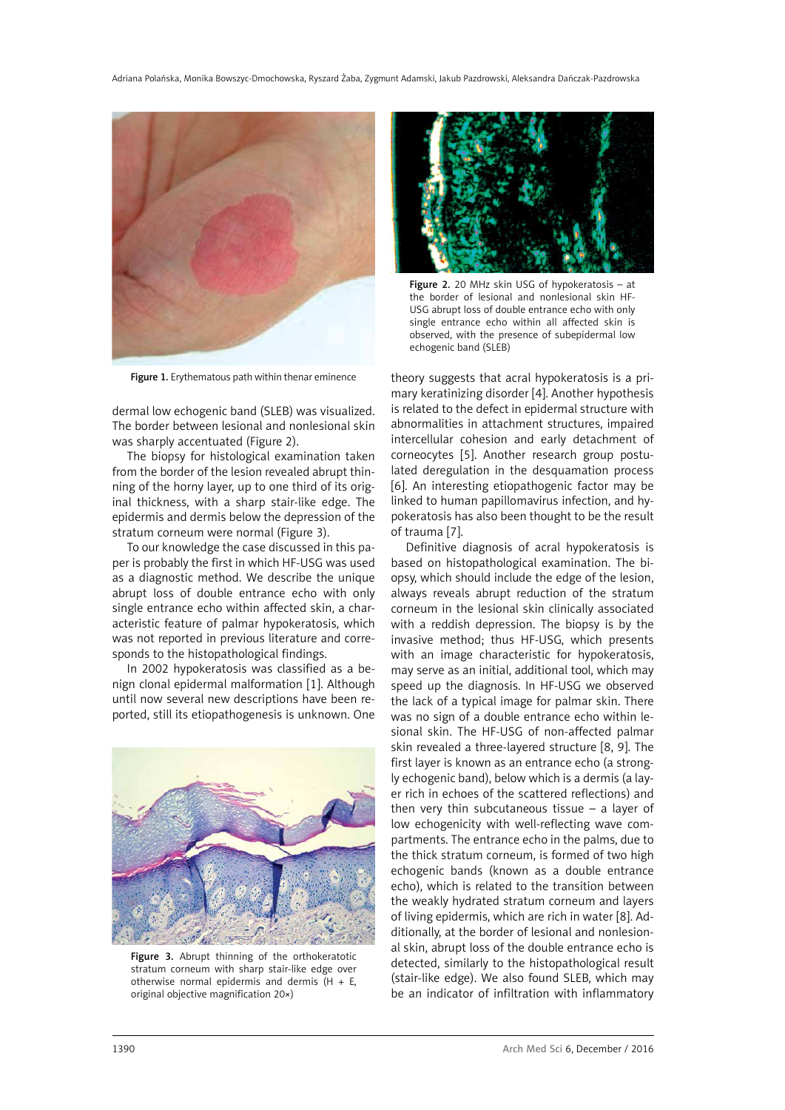

Figure 1. Erythematous path within thenar eminence

dermal low echogenic band (SLEB) was visualized. The border between lesional and nonlesional skin was sharply accentuated (Figure 2).

The biopsy for histological examination taken from the border of the lesion revealed abrupt thinning of the horny layer, up to one third of its original thickness, with a sharp stair-like edge. The epidermis and dermis below the depression of the stratum corneum were normal (Figure 3).

To our knowledge the case discussed in this paper is probably the first in which HF-USG was used as a diagnostic method. We describe the unique abrupt loss of double entrance echo with only single entrance echo within affected skin, a characteristic feature of palmar hypokeratosis, which was not reported in previous literature and corresponds to the histopathological findings.

In 2002 hypokeratosis was classified as a benign clonal epidermal malformation [1]. Although until now several new descriptions have been reported, still its etiopathogenesis is unknown. One



Figure 3. Abrupt thinning of the orthokeratotic stratum corneum with sharp stair-like edge over otherwise normal epidermis and dermis (H  $+ E$ , original objective magnification 20×)



Figure 2. 20 MHz skin USG of hypokeratosis – at the border of lesional and nonlesional skin HF-USG abrupt loss of double entrance echo with only single entrance echo within all affected skin is observed, with the presence of subepidermal low echogenic band (SLEB)

theory suggests that acral hypokeratosis is a primary keratinizing disorder [4]. Another hypothesis is related to the defect in epidermal structure with abnormalities in attachment structures, impaired intercellular cohesion and early detachment of corneocytes [5]. Another research group postulated deregulation in the desquamation process [6]. An interesting etiopathogenic factor may be linked to human papillomavirus infection, and hypokeratosis has also been thought to be the result of trauma [7].

Definitive diagnosis of acral hypokeratosis is based on histopathological examination. The biopsy, which should include the edge of the lesion, always reveals abrupt reduction of the stratum corneum in the lesional skin clinically associated with a reddish depression. The biopsy is by the invasive method; thus HF-USG, which presents with an image characteristic for hypokeratosis, may serve as an initial, additional tool, which may speed up the diagnosis. In HF-USG we observed the lack of a typical image for palmar skin. There was no sign of a double entrance echo within lesional skin. The HF-USG of non-affected palmar skin revealed a three-layered structure [8, 9]. The first layer is known as an entrance echo (a strongly echogenic band), below which is a dermis (a layer rich in echoes of the scattered reflections) and then very thin subcutaneous tissue  $-$  a layer of low echogenicity with well-reflecting wave compartments. The entrance echo in the palms, due to the thick stratum corneum, is formed of two high echogenic bands (known as a double entrance echo), which is related to the transition between the weakly hydrated stratum corneum and layers of living epidermis, which are rich in water [8]. Additionally, at the border of lesional and nonlesional skin, abrupt loss of the double entrance echo is detected, similarly to the histopathological result (stair-like edge). We also found SLEB, which may be an indicator of infiltration with inflammatory